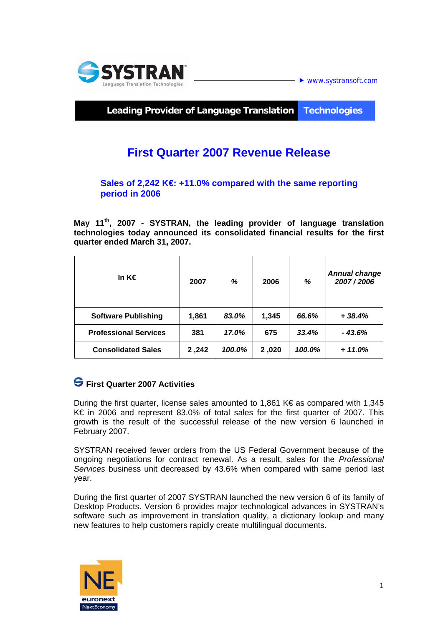

 $\blacktriangleright$  www.systransoft.com

**Leading Provider of Language Translation Technologies** 

# **First Quarter 2007 Revenue Release**

#### Sales of 2,242 K€ +11.0% compared with the same reporting **period in 2006**

**May 11th, 2007 - SYSTRAN, the leading provider of language translation technologies today announced its consolidated financial results for the first quarter ended March 31, 2007.** 

| In K€                        | 2007   | %      | 2006  | %      | <b>Annual change</b><br>2007/2006 |
|------------------------------|--------|--------|-------|--------|-----------------------------------|
| <b>Software Publishing</b>   | 1,861  | 83.0%  | 1.345 | 66.6%  | $+38.4%$                          |
| <b>Professional Services</b> | 381    | 17.0%  | 675   | 33.4%  | - 43.6%                           |
| <b>Consolidated Sales</b>    | 242, 2 | 100.0% | 2,020 | 100.0% | $+11.0%$                          |

## **First Quarter 2007 Activities**

During the first quarter, license sales amounted to 1,861 K $\epsilon$  as compared with 1,345 K€ in 2006 and represent 83.0% of total sales for the first quarter of 2007. This growth is the result of the successful release of the new version 6 launched in February 2007.

SYSTRAN received fewer orders from the US Federal Government because of the ongoing negotiations for contract renewal. As a result, sales for the *Professional Services* business unit decreased by 43.6% when compared with same period last year.

During the first quarter of 2007 SYSTRAN launched the new version 6 of its family of Desktop Products. Version 6 provides major technological advances in SYSTRAN's software such as improvement in translation quality, a dictionary lookup and many new features to help customers rapidly create multilingual documents.